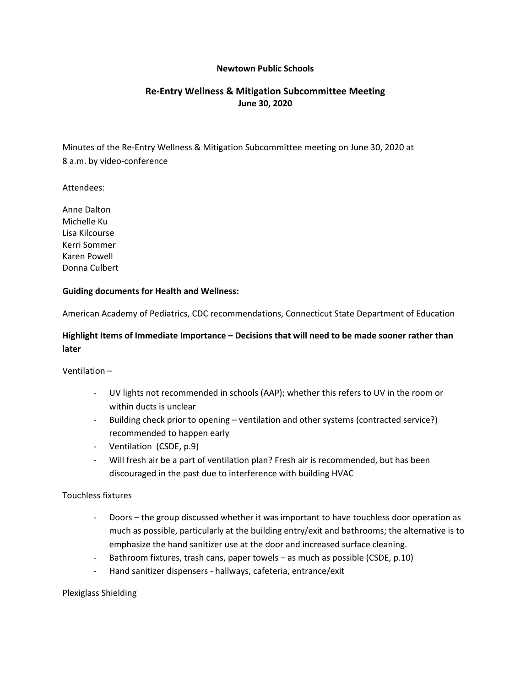#### **Newtown Public Schools**

# **Re-Entry Wellness & Mitigation Subcommittee Meeting June 30, 2020**

Minutes of the Re-Entry Wellness & Mitigation Subcommittee meeting on June 30, 2020 at 8 a.m. by video-conference

Attendees:

Anne Dalton Michelle Ku Lisa Kilcourse Kerri Sommer Karen Powell Donna Culbert

#### **Guiding documents for Health and Wellness:**

American Academy of Pediatrics, CDC recommendations, Connecticut State Department of Education

## **Highlight Items of Immediate Importance – Decisions that will need to be made sooner rather than later**

- Ventilation –<br>- UV lights not recommended in schools (AAP); whether this refers to UV in the room or within ducts is unclear
	- Building check prior to opening ventilation and other systems (contracted service?) recommended to happen early
	- Ventilation (CSDE, p.9)
	- Will fresh air be a part of ventilation plan? Fresh air is recommended, but has been discouraged in the past due to interference with building HVAC

#### Touchless fixtures

- Doors the group discussed whether it was important to have touchless door operation as much as possible, particularly at the building entry/exit and bathrooms; the alternative is to
- emphasize the hand sanitizer use at the door and increased surface cleaning.<br>Bathroom fixtures, trash cans, paper towels as much as possible (CSDE, p.10)
- Hand sanitizer dispensers hallways, cafeteria, entrance/exit

Plexiglass Shielding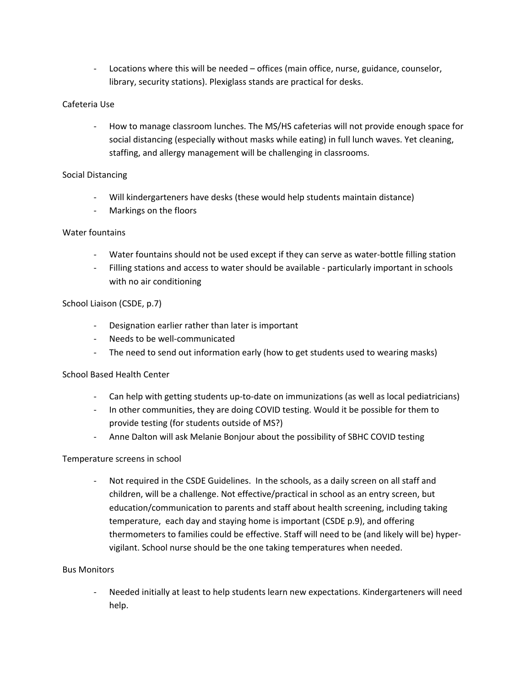- Locations where this will be needed – offices (main office, nurse, guidance, counselor, library, security stations). Plexiglass stands are practical for desks.

### Cafeteria Use

- How to manage classroom lunches. The MS/HS cafeterias will not provide enough space for social distancing (especially without masks while eating) in full lunch waves. Yet cleaning, staffing, and allergy management will be challenging in classrooms.

### Social Distancing

- Will kindergarteners have desks (these would help students maintain distance)
- Markings on the floors

### Water fountains

- Water fountains should not be used except if they can serve as water-bottle filling station
- Filling stations and access to water should be available particularly important in schools with no air conditioning

### School Liaison (CSDE, p.7)

- Designation earlier rather than later is important
- Needs to be well-communicated
- The need to send out information early (how to get students used to wearing masks)

# School Based Health Center

- Can help with getting students up-to-date on immunizations (as well as local pediatricians)
- In other communities, they are doing COVID testing. Would it be possible for them to
- provide testing (for students outside of MS?) Anne Dalton will ask Melanie Bonjour about the possibility of SBHC COVID testing

### Temperature screens in school

- Not required in the CSDE Guidelines. In the schools, as a daily screen on all staff and children, will be a challenge. Not effective/practical in school as an entry screen, but education/communication to parents and staff about health screening, including taking temperature, each day and staying home is important (CSDE p.9), and offering thermometers to families could be effective. Staff will need to be (and likely will be) hypervigilant. School nurse should be the one taking temperatures when needed.

### Bus Monitors

- Needed initially at least to help students learn new expectations. Kindergarteners will need help.